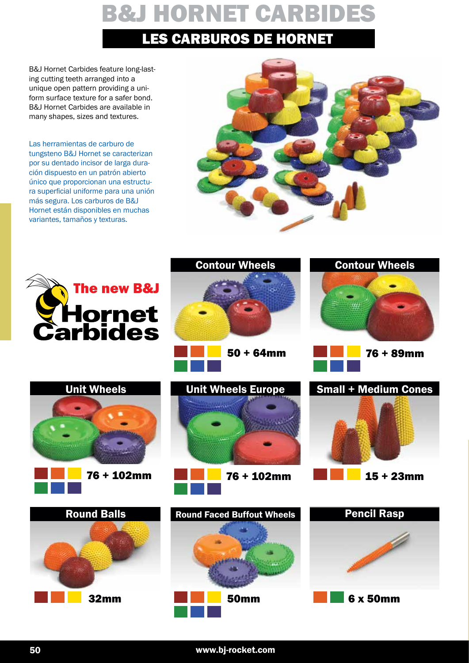B&J Hornet Carbides feature long-lasting cutting teeth arranged into a unique open pattern providing a uniform surface texture for a safer bond. B&J Hornet Carbides are available in many shapes, sizes and textures.

Las herramientas de carburo de tungsteno B&J Hornet se caracterizan por su dentado incisor de larga duración dispuesto en un patrón abierto único que proporcionan una estructura superficial uniforme para una unión más segura. Los carburos de B&J Hornet están disponibles en muchas variantes, tamaños y texturas.